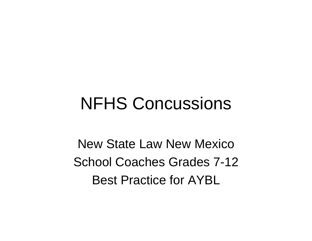### NFHS Concussions

New State Law New Mexico School Coaches Grades 7-12 Best Practice for AYBL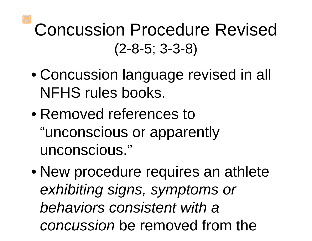### Concussion Procedure Revised (2-8-5; 3-3-8)

- Concussion language revised in all NFHS rules books.
- Removed references to "unconscious or apparently unconscious."
- New procedure requires an athlete *exhibiting signs, symptoms or behaviors consistent with a concussion* be removed from the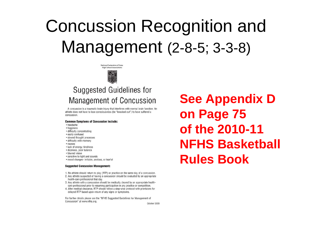National Federation of State **High School Associations** 

### **Suggested Guidelines for Management of Concussion**

A concussion is a traumatic brain injury that interferes with normal brain function. An athlete does not have to lose consciousness (be "knocked out") to have suffered a concussion.

### **Common Symptoms of Concussion Include:**

- headache
- fogginess
- difficulty concentrating
- easily confused
- slowed thought processes
- difficulty with memory
- · nausea
- · lack of energy, tiredness
- · dizziness, poor balance
- · blurred vision
- sensitive to light and sounds
- · mood changes- irritable, anxious, or tearful

### **Suggested Concussion Management:**

- 1. No athlete should return to play (RTP) or practice on the same day of a concussion.
- 2. Any athlete suspected of having a concussion should be evaluated by an appropriate health-care professional that day.
- 3. Any athlete with a concussion should be medically cleared by an appropriate healthcare professional prior to resuming participation in any practice or competition.
- 4. After medical clearance, RTP should follow a step-wise protocol with provisions for delayed RTP based upon return of any signs or symptoms.

For further details please see the "NFHS Suggested Guidelines for Management of Concussion" at www.nfhs.org.

**See Appendix D** on Page 75 of the 2010-11 **NFHS Basketball Rules Book**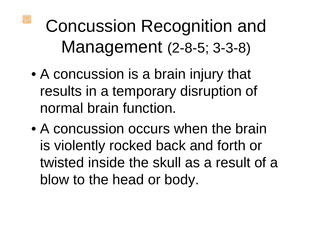- A concussion is a brain injury that results in a temporary disruption of normal brain function.
- A concussion occurs when the brain is violently rocked back and forth or twisted inside the skull as a result of a blow to the head or body.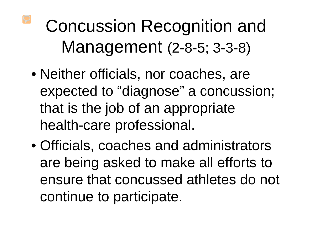- Neither officials, nor coaches, are expected to "diagnose" a concussion; that is the job of an appropriate health-care professional.
- Officials, coaches and administrators are being asked to make all efforts to ensure that concussed athletes do not continue to participate.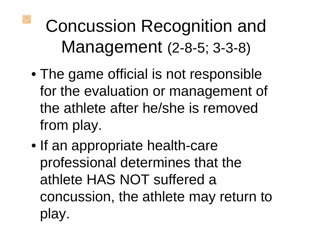- The game official is not responsible for the evaluation or management of the athlete after he/she is removed from play.
- If an appropriate health-care professional determines that the athlete HAS NOT suffered a concussion, the athlete may return to play.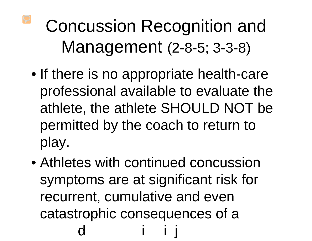- If there is no appropriate health-care professional available to evaluate the athlete, the athlete SHOULD NOT be permitted by the coach to return to play.
- Athletes with continued concussion symptoms are at significant risk for recurrent, cumulative and even catastrophic consequences of a d i i j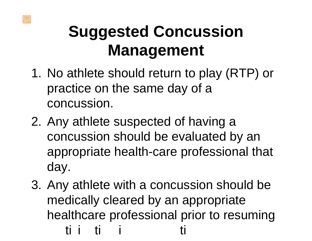### **Suggested Concussion Management**

- 1. No athlete should return to play (RTP) or practice on the same day of a concussion.
- 2. Any athlete suspected of having a concussion should be evaluated by an appropriate health-care professional that day.
- 3. Any athlete with a concussion should be medically cleared by an appropriate healthcare professional prior to resuming ti i ti i ti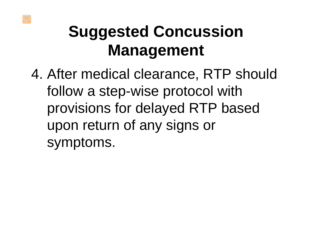### **Suggested Concussion Management**

4. After medical clearance, RTP should follow a step-wise protocol with provisions for delayed RTP based upon return of any signs or symptoms.